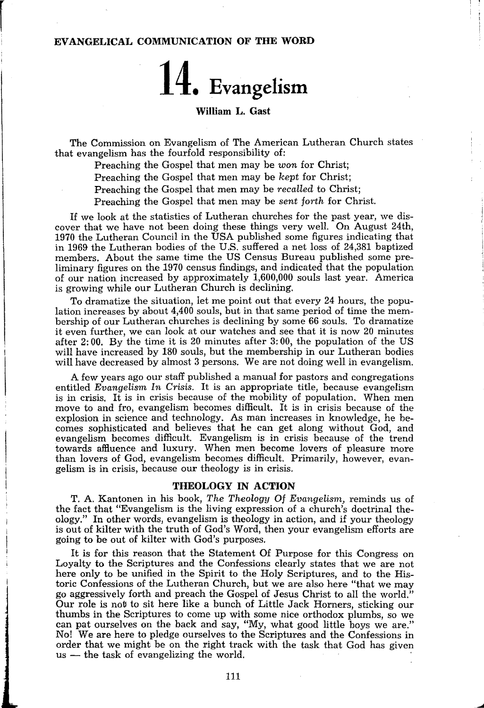# EVANGELICAL COMMUNICATION OF THE WORD

 $\mathbf{r}$ 

# 14. Evangelism

## William L. Gast

The Commission on Evangelism of The American Lutheran Church states that evangelism has the fourfold responsibility of:

Preaching the Gospel that men may be won for Christ;

Preaching the Gospel that men may be *kept* for Christ;

Preaching the Gospel that men may be *recalled* to Christ;

Preaching the Gospel that men may be *sent forth* for Christ.

If we look at the statistics of Lutheran churches for the past year, we discover that we have not been doing these things very well. On August 24th, 1970 the Lutheran Council in the USA published some figures indicating that in 1969 the Lutheran bodies of the U.S. suffered a net loss of 24,381 baptized members. About the same time the US Census Bureau published some preliminary figures on the 1970 census findings, and indicated that the population of our nation increased by approximately 1,600,000 souls last year. America is growing while our Lutheran Church is declining.

To dramatize the situation, let me point out that every 24 hours, the population increases by about 4,400 souls, but in that same period of time the membership of our Lutheran churches is declining by some 66 souls. To dramatize it even further, we can look at our watches and see that it is now 20 minutes after 2: 00. By the time it is 20 minutes after 3: 00, the population of the US will have increased by 180 souls, but the membership in our Lutheran bodies will have decreased by almost 3 persons. We are not doing well in evangelism.

A few years ago our staff published a manual for pastors and congregations entitled *Evangelism,* In *Crisis.* It is an appropriate title, because evangelism is in crisis. It is in crisis because of the mobility of population. When men move to and fro, evangelism becomes difficult. It is in crisis because of the explosion in science and technology. As man increases in knowledge, he becomes sophisticated and believes that he can get along without God, and evangelism becomes difficult. Evangelism is in crisis because of the trend towards affluence and luxury. When men become lovers of pleasure more than lovers of God, evangelism becomes difficult. Primarily, however, evangelism is in crisis, because our theology is in crisis.

### THEOLOGY IN ACTION

T. A. Kantonen in his book, *The Theology Of Evangelism,* reminds us of the fact that "Evangelism is the living expression of a church's doctrinal theology." In other words, evangelism is theology in action, and if your theology is out of kilter with the truth of God's Word, then your evangelism efforts are going to be out of kilter with God's purposes.

It is for this reason that the Statement Of Purpose for this Congress on Loyalty to the Scriptures and the Confessions clearly states that we are not here only to be unified in the Spirit to the Holy Scriptures, and to the Historic Confessions of the Lutheran Church, but we are also here "that we may go aggressively forth and preach the Gospel of Jesus Christ to all the world." Our role is not to sit here like a bunch of Little Jack Horners, sticking our thumbs in the Scriptures to come up with some nice orthodox plumbs, so we can pat ourselves on the back and say, "My, what good little boys we are." No! We are here to pledge ourselves to the Scriptures and the Confessions in order that we might be on the right track with the task that God has given  $us$  — the task of evangelizing the world.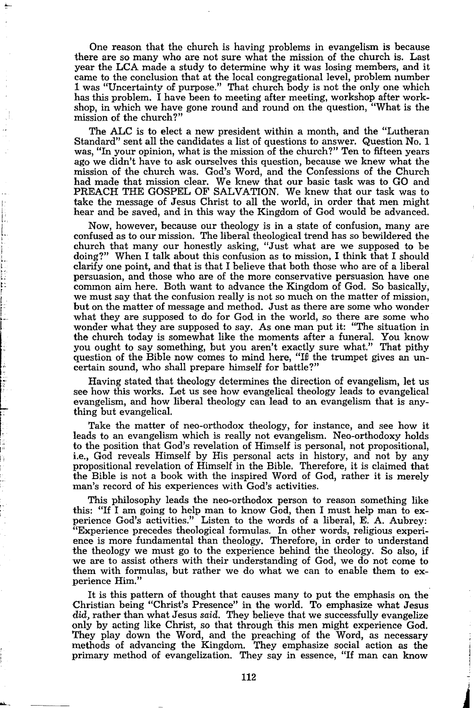One reason that the church is having problems in evangelism is because there are so many who are not sure what the mission of the church is. Last year the LCA made a study to determine why it was losing members, and it came to the conclusion that at the local congregational level, problem number 1 was "Uncertainty of purpose." That church body is not the only one which has this problem. I have been to meeting after meeting, workshop after workshop, in which we have gone round and round on the question, "What is the mission of the church?"

The ALC is to elect a new president within a month, and the "Lutheran Standard" sent all the candidates a list of questions to answer. Question No. 1 was, "In your opinion, what is the mission of the church?" Ten to fifteen years ago we didn't have to ask ourselves this question, because we knew what the mission of the church was. God's Word, and the Confessions of the Church had made that mission clear. We knew that our basic task was to GO and PREACH THE GOSPEL OF SALVATION. We knew that our task was to take the message of Jesus Christ to all the world, in order that men might hear and be saved, and in this way the Kingdom of God would be advanced.

Now, however, because our theology is in a state of confusion, many are confused as to our mission. The liberal theological trend has so bewildered the church that many our honestly asking, "Just what are we supposed to be doing?" When I talk about this confusion as to mission, I think that I should clarify one point, and that is that I believe that both those who are of a liberal persuasion, and those who are of the more conservative persuasion have one common aim here. Both want to advance the Kingdom of God. So basically, we must say that the confusion really is not so much on the matter of mission, but on the matter of message and method. Just as there are some who wonder what they are supposed to do for God in the world, so there are some who wonder what they are supposed to say. As one man put it: "The situation in the church today is somewhat like the moments after a funeral. You know you ought to say something, but you aren't exactly sure what." That pithy question of the Bible now comes to mind here, "If the trumpet gives an uncertain sound, who shall prepare himself for battle?"

Having stated that theology determines the direction of evangelism, let us see how this works. Let us see how evangelical theology leads to evangelical evangelism, and how liberal theology can lead to an evangelism that is anything but evangelical.

Take the matter of neo-orthodox theology, for instance, and see how it leads to an evangelism which is really not evangelism. Neo-orthodoxy holds to the position that God's revelation of Himself is personal, not propositional, i.e., God reveals Himself by His personal acts in history, and not by any propositional revelation of Himself in the Bible. Therefore, it is claimed that the Bible is not a book with the inspired Word of God, rather it is merely man's record of his experiences with God's activities.

This philosophy leads the nee-orthodox person to reason something like this: "If I am going to help man to know God, then I must help man to experience God's activities." Listen to the words of a liberal, E. A. Aubrey: "Experience precedes theological formulas. In other words, religious experience is more fundamental than theology. Therefore, in order to understand the theology we must go to the experience behind the theology. So also, if we are to assist others with their understanding of God, we do not come to them with formulas, but rather we do what we can to enable them to experience Him."

It is this pattern of thought that causes many to put the emphasis on the Christian being "Christ's Presence" in the world. To emphasize what Jesus did, rather than what Jesus *said.* They believe that we successfully evangelize only by acting like Christ, so that through this men might experience God. They play down the Word, and the preaching of the Word, as necessary methods of advancing the Kingdom. They emphasize social action as the primary method of evangelization. They say in essence, "If man can know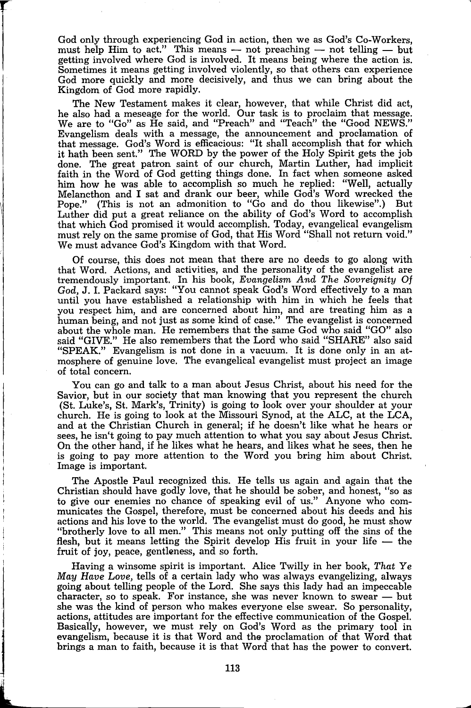God only through experiencing God in action, then we as God's Co-Workers, must help Him to act." This means  $-$  not preaching  $-$  not telling  $-$  but getting involved where God is involved. It means being where the action is. Sometimes it means getting involved violently, so that others can experience God more quickly and more decisively, and thus we can bring about the Kingdom of God more rapidly.

The New Testament makes it clear, however, that while Christ did act, he also had a meseage for the world. Our task is to proclaim that message. We are to "Go" as He said, and "Preach" and "Teach" the "Good NEWS." Evangelism deals with a message, the announcement and proclamation of that message. God's Word is efficacious: "It shall accomplish that for which it hath been sent." The WORD by the power of the Holy Spirit gets the job done. The great patron saint of our church, Martin Luther, had implicit faith in the Word of God getting things done. In fact when someone asked him how he was able to accomplish so much he replied: "Well, actually Melancthon and I sat and drank our beer, while God's Word wrecked the Pope." (This is not an admonition to "Go and do thou likewise".) But Luther did put a great reliance on the ability of God's Word to accomplish that which God promised it would accomplish. Today, evangelical evangelism must rely on the same promise of God, that His Word "Shall not return void." We must advance God's Kingdom with that Word.

Of course, this does not mean that there are no deeds to go along with that Word. Actions, and activities, and the personality of the evangelist are tremendously important. In his book, *Evangelism And The Sovreignity Of God,* J. I. Packard says: "You cannot speak God's Word effectively to a man until you have established a relationship with him in which he feels that you respect him, and are concerned about him, and are treating him as a human being, and not just as some kind of case." The evangelist is concerned about the whole man. He remembers that the same God who said "GO" also said "GIVE." He also remembers that the Lord who said "SHARE" also said "SPEAK." Evangelism is not done in a vacuum. It is done only in an atmosphere of genuine love. The evangelical evangelist must project an image of total concern.

You can go and talk to a man about Jesus Christ, about his need for the Savior, but in our society that man knowing that you represent the church (St. Luke's, St. Mark's, Trinity) is going to look over your shoulder at your church. He is going to look at the Missouri Synod, at the ALC, at the LCA, and at the Christian Church in general; if he doesn't like what he hears or sees, he isn't going to pay much attention to what you say about Jesus Christ. On the other hand, if he likes what he hears, and likes what he sees, then he is going to pay more attention to the Word you bring him about Christ. Image is important.

The Apostle Paul recognized this. He tells us again and again that the Christian should have godly love, that he should be sober, and honest, "so as to give our enemies no chance of speaking evil of us." Anyone who communicates the Gospel, therefore, must be concerned about his deeds and his actions and his love to the world. The evangelist must do good, he must show "brotherly love to all men." This means not only putting off the sins of the flesh, but it means letting the Spirit develop His fruit in your life  $-$  the fruit of joy, peace, gentleness, and so forth.

Having a winsome spirit is important. Alice Twilly in her book, *That Ye May Have* Love, tells of a certain lady who was always evangelizing, always going about telling people of the Lord. She says this lady had an impeccable character, so to speak. For instance, she was never known to swear  $-$  but she was the kind of person who makes everyone else swear. So personality, actions, attitudes are important for the effective communication of the Gospel. Basically, however, we must rely on God's Word as the primary tool in evangelism, because it is that Word and the proclamation of that Word that brings a man to faith, because it is that Word that has the power to convert.

j

;J L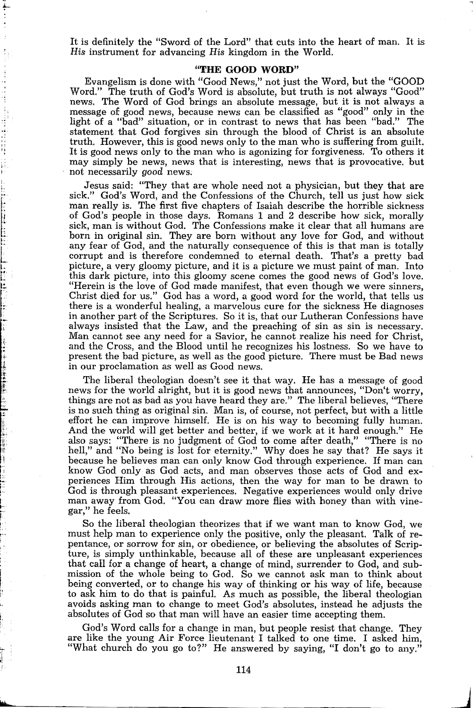It is definitely the "Sword of the Lord" that cuts into the heart of man. It is *His* instrument for advancing *His* kingdom in the World.

### **"THE GOOD WORD"**

Evangelism is done with "Good News," not just the Word, **but** the "GOOD Word." The truth of God's Word is absolute, but truth is not always "Good" news. The Word of God brings an absolute message, but it is not always a message of good news, because news can be classified as "good" only in the light of a "bad" situation, or in contrast to news that has been "bad." The statement that God forgives sin through the blood of Christ is an absolute truth, However, this is good news only to the man who is suffering from guilt. It is good news only to the man who is agonizing for forgiveness. To others it may simply be news, news that is interesting, news that is provocative. but not necessarily *good* news;

" " i: f

:r ,! I

Jesus said: "They that are whole need not a physician, but they that are sick." God's Word, and the Confessions of the Church, tell us just how sick man really is. The first five chapters of Isaiah describe the horrible sickness of God's people in those days. Romans 1 and 2 describe how sick, morally sick, man is without God. The Confessions make it clear that all humans are born in original sin. They are born without any love for God, and without any fear of God, and the naturally consequence of this is that man is totally corrupt and is therefore condemned to eternal death. That's a pretty bad picture, a very gloomy picture, and it is a picture we must paint of man. Into this dark picture, into this gloomy scene comes the good news of God's love. "Herein is the love of God made manifest, that even though we were sinners, Christ died for us." God has a word, a good word for the world, that tells us there is a wonderful healing, a marvelous cure for the sickness He diagnoses in another part of the Scriptures. So it is, that our Lutheran Confessions have always insisted that the Law, and the preaching of sin as sin is necessary. Man cannot see any need for a Savior, he cannot realize his need for Christ, and the Cross, and the Blood until he recognizes his lostness. So we have to present the bad picture, as well as the good picture. There must be Bad news in our proclamation as well as Good news.

The liberal theologian doesn't see it that way. He has a message of good news for the world alright, but it is good news that announces, "Don't worry, things are not as bad as you have heard they are." The liberal believes, "There is no such thing as original sin. Man is, of course, not perfect, but with a little effort he can improve himself. He is on his way to becoming fully human. And the world will get better and better, if we work at it hard enough." He also says: "There is no judgment of God to come after death," "There is no hell," and "No being is lost for eternity." Why does he say that? He says it because he believes man can only know God through experience. If man can know God only as God acts, and man observes those acts of God and experiences Him through His actions, then the way for man to be drawn to God is through pleasant experiences. Negative experiences would only drive man away from God. "You can draw more flies with honey than with vinegar," he feels.

So the liberal theologian theorizes that if we want man to know God, we must help man to experience only the positive, only the pleasant. Talk of repentance, or sorrow for sin, or obedience, or believing the absolutes of Scripture, is simply unthinkable, because all of these are unpleasant experiences that call for a change of heart, a change of mind, surrender to God, and submission of the whole being to God. So we cannot ask man to think about being converted, or to change his way of thinking or his way of life, because to ask him to do that is painful. As much as possible, the liberal theologian avoids asking man to change to meet God's absolutes, instead he adjusts the absolutes of God so that man will have an easier time accepting them.

God's Word calls for a change in man, but people resist that change. They are like the young Air Force lieutenant I talked to one time. I asked him, "What church do you go to?" He answered by saying, "I don't go to any."

 $\overline{\phantom{a}}$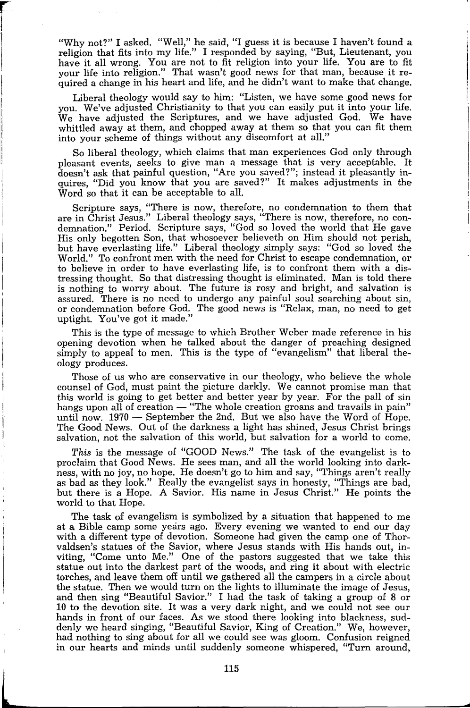"Why not?" I asked. "Well," he said, "I guess it is because I haven't found a religion that fits into my life." I responded by saying, "But, Lieutenant, you have it all wrong. You are not to fit religion into your life. You are to fit your life into religion." That wasn't good news for that man, because it required a change in his heart and life, and he didn't want to make that change.

r

t  $\mathbf{I}$ 

 $\mathbf{I}$ 

L

Liberal theology would say to him: "Listen, we have some good news for you. We've adjusted Christianity to that you can easily put it into your life. We have adjusted the Scriptures, and we have adjusted God. We have whittled away at them, and chopped away at them so that you can fit them into your scheme of things without any discomfort at all."

So liberal theology, which claims that man experiences God only through pleasant events, seeks to give man a message that is very acceptable. It doesn't ask that painful question, "Are you saved?"; instead it pleasantly inquires, "Did you know that you are saved?" It makes adjustments in the Word so that it can be acceptable to all.

Scripture says, "There is now, therefore, no condemnation to them that are in Christ Jesus." Liberal theology says, "There is now, therefore, no condemnation." Period. Scripture says, "God so loved the world that He gave His only begotten Son, that whosoever believeth on Him should not perish, but have everlasting life." Liberal theology simply says: "God so loved the World." To confront men with the need for Christ to escape condemnation, or to believe in order to have everlasting life, is to confront them with a distressing thought. So that distressing thought is eliminated. Man is told there is nothing to worry about. The future is rosy and bright, and salvation is assured. There is no need to undergo any painful soul searching about sin, or condemnation before God. The good news is "Relax, man, no need to get uptight. You've got it made."

This is the type of message to which Brother Weber made reference in his opening devotion when he talked about the danger of preaching designed simply to appeal to men. This is the type of "evangelism" that liberal theology produces.

Those of us who are conservative in our theology, who believe the whole counsel of God, must paint the picture darkly. We cannot promise man that this world is going to get better and better year by year. For the pall of sin hangs upon all of creation  $-$  "The whole creation groans and travails in pain" until now.  $1970$  – September the 2nd. But we also have the Word of Hope. The Good News. Out of the darkness a light has shined, Jesus Christ brings salvation, not the salvation of this world, but salvation for a world to come.

*This* is the message of "GOOD News." The task of the evangelist is to proclaim that Good News. He sees man, and all the world looking into darkness, with no joy, no hope. He doesn't go to him and say, "Things aren't really as bad *as* they look." Really the evangelist says in honesty, "Things are bad, but there is a Hope. A Savior. His name in Jesus Christ." He points the world to that Hope.

The task of evangelism is symbolized by a situation that happened to me at a Bible camp some years ago. Every evening we wanted to end our day with a different type of devotion. Someone had given the camp one of Thorvaldsen's statues of the Savior, where Jesus stands with His hands out, inviting, "Come unto Me." One of the pastors suggested that we take this statue out into the darkest part of the woods, and ring it about with electric torches, and leave them off until we gathered all the campers in a circle about the statue. Then we would turn on the lights to illuminate the image of Jesus, and then sing "Beautiful Savior." I had the task of taking a group of 8 or 10 to the devotion site. It was a very dark night, and we could not see our hands in front of our faces. As we stood there looking into blackness, suddenly we heard singing, "Beautiful Savior, King of Creation." We, however, had nothing to sing about for all we could see was gloom. Confusion reigned in our hearts and minds until suddenly someone whispered, "Turn around,